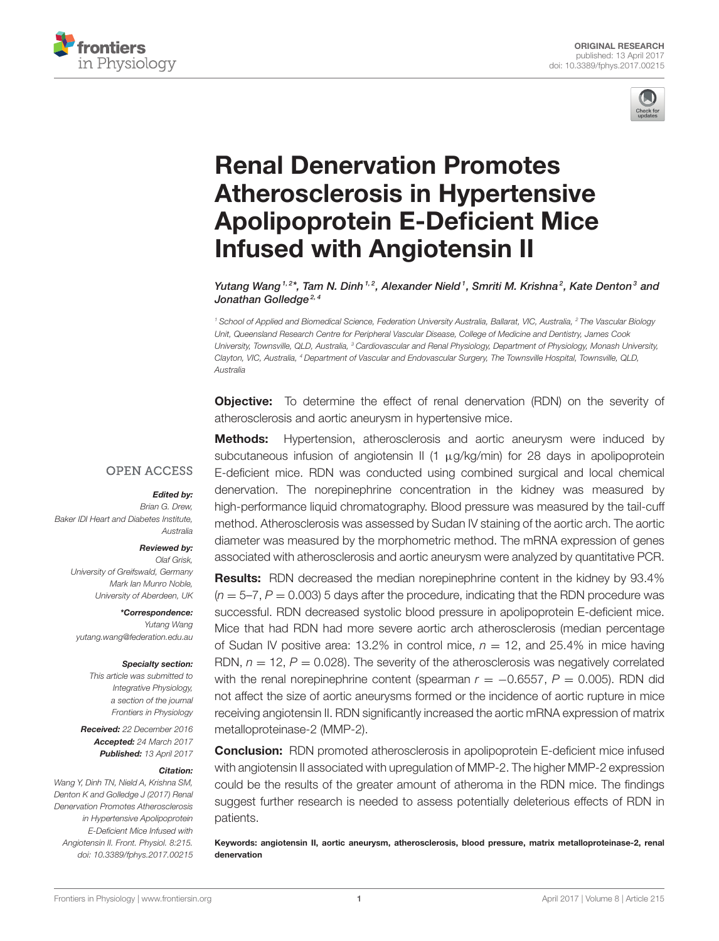



# Renal Denervation Promotes Atherosclerosis in Hypertensive [Apolipoprotein E-Deficient Mice](http://journal.frontiersin.org/article/10.3389/fphys.2017.00215/abstract) Infused with Angiotensin II

[Yutang Wang](http://loop.frontiersin.org/people/28531/overview)<sup>1,2\*</sup>, Tam N. Dinh<sup>1,2</sup>, Alexander Nield<sup>1</sup>, [Smriti M. Krishna](http://loop.frontiersin.org/people/177314/overview)<sup>2</sup>, [Kate Denton](http://loop.frontiersin.org/people/23172/overview)<sup>3</sup> and Jonathan Golledge<sup>2, 4</sup>

*<sup>1</sup> School of Applied and Biomedical Science, Federation University Australia, Ballarat, VIC, Australia, <sup>2</sup> The Vascular Biology Unit, Queensland Research Centre for Peripheral Vascular Disease, College of Medicine and Dentistry, James Cook University, Townsville, QLD, Australia, <sup>3</sup> Cardiovascular and Renal Physiology, Department of Physiology, Monash University, Clayton, VIC, Australia, <sup>4</sup> Department of Vascular and Endovascular Surgery, The Townsville Hospital, Townsville, QLD, Australia*

**Objective:** To determine the effect of renal denervation (RDN) on the severity of atherosclerosis and aortic aneurysm in hypertensive mice.

## **OPEN ACCESS**

#### Edited by:

*Brian G. Drew, Baker IDI Heart and Diabetes Institute, Australia*

#### Reviewed by:

*Olaf Grisk, University of Greifswald, Germany Mark Ian Munro Noble, University of Aberdeen, UK*

\*Correspondence: *Yutang Wang [yutang.wang@federation.edu.au](mailto:yutang.wang@federation.edu.au)*

#### Specialty section:

*This article was submitted to Integrative Physiology, a section of the journal Frontiers in Physiology*

Received: *22 December 2016* Accepted: *24 March 2017* Published: *13 April 2017*

#### Citation:

*Wang Y, Dinh TN, Nield A, Krishna SM, Denton K and Golledge J (2017) Renal Denervation Promotes Atherosclerosis in Hypertensive Apolipoprotein E-Deficient Mice Infused with Angiotensin II. Front. Physiol. 8:215. doi: [10.3389/fphys.2017.00215](https://doi.org/10.3389/fphys.2017.00215)*

**Methods:** Hypertension, atherosclerosis and aortic aneurysm were induced by subcutaneous infusion of angiotensin II (1 µg/kg/min) for 28 days in apolipoprotein E-deficient mice. RDN was conducted using combined surgical and local chemical denervation. The norepinephrine concentration in the kidney was measured by high-performance liquid chromatography. Blood pressure was measured by the tail-cuff method. Atherosclerosis was assessed by Sudan IV staining of the aortic arch. The aortic diameter was measured by the morphometric method. The mRNA expression of genes associated with atherosclerosis and aortic aneurysm were analyzed by quantitative PCR.

Results: RDN decreased the median norepinephrine content in the kidney by 93.4%  $(n = 5-7, P = 0.003)$  5 days after the procedure, indicating that the RDN procedure was successful. RDN decreased systolic blood pressure in apolipoprotein E-deficient mice. Mice that had RDN had more severe aortic arch atherosclerosis (median percentage of Sudan IV positive area: 13.2% in control mice,  $n = 12$ , and 25.4% in mice having RDN,  $n = 12$ ,  $P = 0.028$ ). The severity of the atherosclerosis was negatively correlated with the renal norepinephrine content (spearman  $r = -0.6557$ ,  $P = 0.005$ ). RDN did not affect the size of aortic aneurysms formed or the incidence of aortic rupture in mice receiving angiotensin II. RDN significantly increased the aortic mRNA expression of matrix metalloproteinase-2 (MMP-2).

Conclusion: RDN promoted atherosclerosis in apolipoprotein E-deficient mice infused with angiotensin II associated with upregulation of MMP-2. The higher MMP-2 expression could be the results of the greater amount of atheroma in the RDN mice. The findings suggest further research is needed to assess potentially deleterious effects of RDN in patients.

Keywords: angiotensin II, aortic aneurysm, atherosclerosis, blood pressure, matrix metalloproteinase-2, renal denervation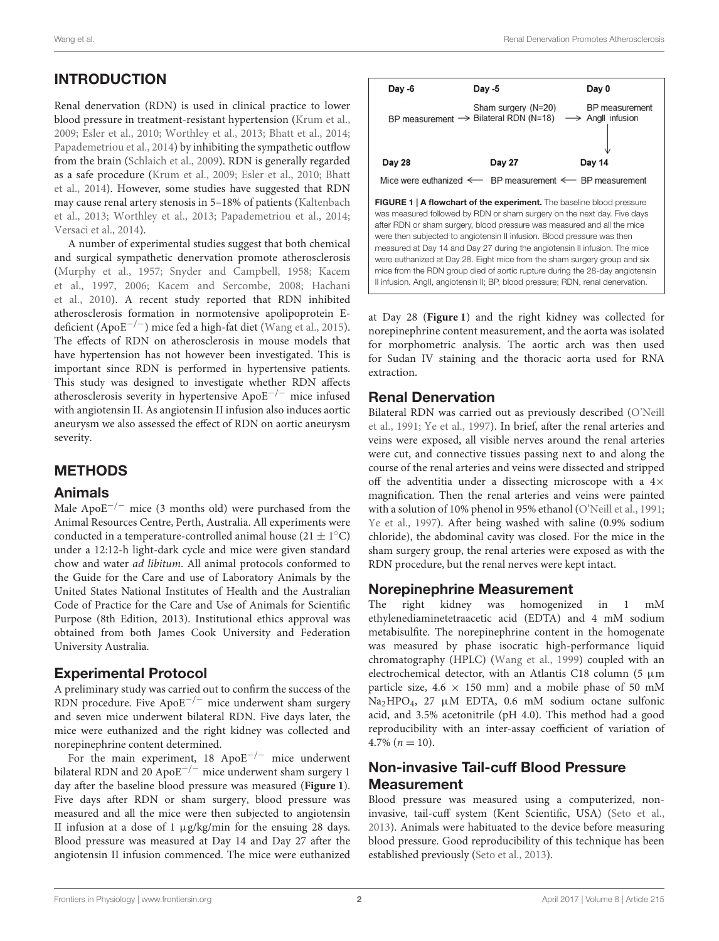# INTRODUCTION

Renal denervation (RDN) is used in clinical practice to lower blood pressure in treatment-resistant hypertension [\(Krum et al.,](#page-8-0) [2009;](#page-8-0) [Esler et al., 2010;](#page-7-0) [Worthley et al., 2013;](#page-8-1) [Bhatt et al.,](#page-7-1) [2014;](#page-7-1) [Papademetriou et al., 2014\)](#page-8-2) by inhibiting the sympathetic outflow from the brain [\(Schlaich et al., 2009\)](#page-8-3). RDN is generally regarded as a safe procedure [\(Krum et al., 2009;](#page-8-0) [Esler et al., 2010;](#page-7-0) Bhatt et al., [2014\)](#page-7-1). However, some studies have suggested that RDN may cause renal artery stenosis in 5–18% of patients (Kaltenbach et al., [2013;](#page-7-2) [Worthley et al., 2013;](#page-8-1) [Papademetriou et al., 2014;](#page-8-2) [Versaci et al., 2014\)](#page-8-4).

A number of experimental studies suggest that both chemical and surgical sympathetic denervation promote atherosclerosis [\(Murphy et al., 1957;](#page-8-5) [Snyder and Campbell, 1958;](#page-8-6) Kacem et al., [1997,](#page-7-3) [2006;](#page-7-4) [Kacem and Sercombe, 2008;](#page-7-5) Hachani et al., [2010\)](#page-7-6). A recent study reported that RDN inhibited atherosclerosis formation in normotensive apolipoprotein Edeficient (Apo $E^{-/-}$ ) mice fed a high-fat diet [\(Wang et al., 2015\)](#page-8-7). The effects of RDN on atherosclerosis in mouse models that have hypertension has not however been investigated. This is important since RDN is performed in hypertensive patients. This study was designed to investigate whether RDN affects atherosclerosis severity in hypertensive ApoE−/<sup>−</sup> mice infused with angiotensin II. As angiotensin II infusion also induces aortic aneurysm we also assessed the effect of RDN on aortic aneurysm severity.

## METHODS

#### Animals

Male Apo $E^{-/-}$  mice (3 months old) were purchased from the Animal Resources Centre, Perth, Australia. All experiments were conducted in a temperature-controlled animal house  $(21 \pm 1^{\circ} \text{C})$ under a 12:12-h light-dark cycle and mice were given standard chow and water ad libitum. All animal protocols conformed to the Guide for the Care and use of Laboratory Animals by the United States National Institutes of Health and the Australian Code of Practice for the Care and Use of Animals for Scientific Purpose (8th Edition, 2013). Institutional ethics approval was obtained from both James Cook University and Federation University Australia.

## Experimental Protocol

A preliminary study was carried out to confirm the success of the RDN procedure. Five ApoE−/<sup>−</sup> mice underwent sham surgery and seven mice underwent bilateral RDN. Five days later, the mice were euthanized and the right kidney was collected and norepinephrine content determined.

For the main experiment, 18 ApoE−/<sup>−</sup> mice underwent bilateral RDN and 20 ApoE−/<sup>−</sup> mice underwent sham surgery 1 day after the baseline blood pressure was measured (**[Figure 1](#page-1-0)**). Five days after RDN or sham surgery, blood pressure was measured and all the mice were then subjected to angiotensin II infusion at a dose of 1  $\mu$ g/kg/min for the ensuing 28 days. Blood pressure was measured at Day 14 and Day 27 after the angiotensin II infusion commenced. The mice were euthanized

<span id="page-1-0"></span>

at Day 28 (**[Figure 1](#page-1-0)**) and the right kidney was collected for norepinephrine content measurement, and the aorta was isolated for morphometric analysis. The aortic arch was then used for Sudan IV staining and the thoracic aorta used for RNA extraction.

## Renal Denervation

Bilateral RDN was carried out as previously described (O'Neill et al., [1991;](#page-8-8) [Ye et al., 1997\)](#page-8-9). In brief, after the renal arteries and veins were exposed, all visible nerves around the renal arteries were cut, and connective tissues passing next to and along the course of the renal arteries and veins were dissected and stripped off the adventitia under a dissecting microscope with a  $4\times$ magnification. Then the renal arteries and veins were painted with a solution of 10% phenol in 95% ethanol [\(O'Neill et al., 1991;](#page-8-8) [Ye et al., 1997\)](#page-8-9). After being washed with saline (0.9% sodium chloride), the abdominal cavity was closed. For the mice in the sham surgery group, the renal arteries were exposed as with the RDN procedure, but the renal nerves were kept intact.

#### Norepinephrine Measurement

The right kidney was homogenized in 1 mM ethylenediaminetetraacetic acid (EDTA) and 4 mM sodium metabisulfite. The norepinephrine content in the homogenate was measured by phase isocratic high-performance liquid chromatography (HPLC) [\(Wang et al., 1999\)](#page-8-10) coupled with an electrochemical detector, with an Atlantis C18 column (5  $\mu$ m particle size,  $4.6 \times 150$  mm) and a mobile phase of 50 mM Na2HPO4, 27 µM EDTA, 0.6 mM sodium octane sulfonic acid, and 3.5% acetonitrile (pH 4.0). This method had a good reproducibility with an inter-assay coefficient of variation of  $4.7\%$   $(n = 10)$ .

## Non-invasive Tail-cuff Blood Pressure Measurement

Blood pressure was measured using a computerized, noninvasive, tail-cuff system (Kent Scientific, USA) [\(Seto et al.,](#page-8-11) [2013\)](#page-8-11). Animals were habituated to the device before measuring blood pressure. Good reproducibility of this technique has been established previously [\(Seto et al., 2013\)](#page-8-11).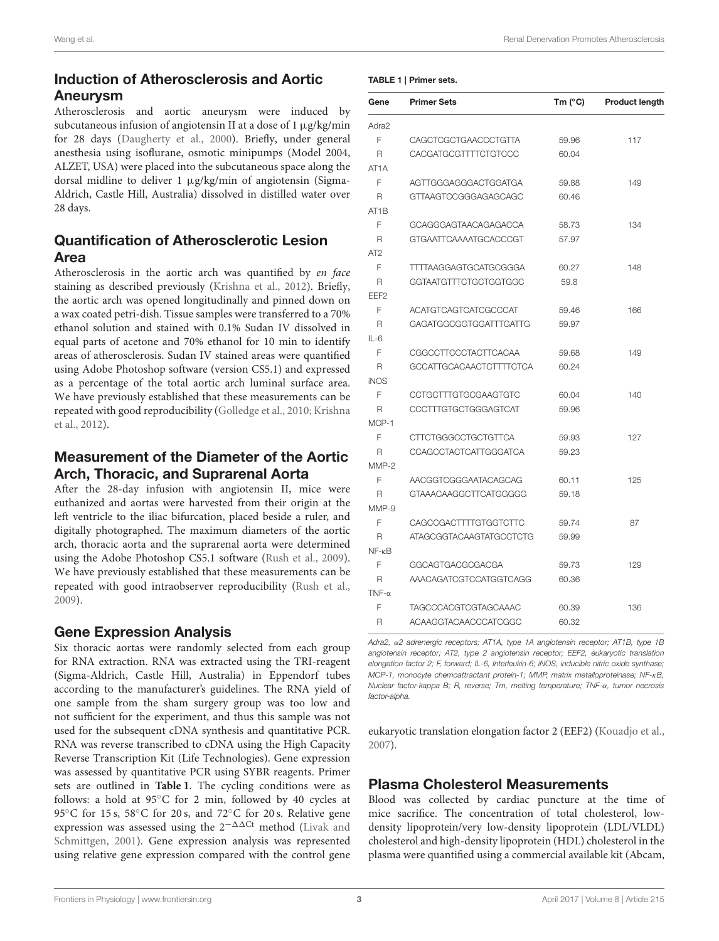## Induction of Atherosclerosis and Aortic Aneurysm

Atherosclerosis and aortic aneurysm were induced by subcutaneous infusion of angiotensin II at a dose of 1  $\mu$ g/kg/min for 28 days [\(Daugherty et al., 2000\)](#page-7-7). Briefly, under general anesthesia using isoflurane, osmotic minipumps (Model 2004, ALZET, USA) were placed into the subcutaneous space along the dorsal midline to deliver 1 µg/kg/min of angiotensin (Sigma-Aldrich, Castle Hill, Australia) dissolved in distilled water over 28 days.

# Quantification of Atherosclerotic Lesion Area

Atherosclerosis in the aortic arch was quantified by en face staining as described previously [\(Krishna et al., 2012\)](#page-7-8). Briefly, the aortic arch was opened longitudinally and pinned down on a wax coated petri-dish. Tissue samples were transferred to a 70% ethanol solution and stained with 0.1% Sudan IV dissolved in equal parts of acetone and 70% ethanol for 10 min to identify areas of atherosclerosis. Sudan IV stained areas were quantified using Adobe Photoshop software (version CS5.1) and expressed as a percentage of the total aortic arch luminal surface area. We have previously established that these measurements can be repeated with good reproducibility [\(Golledge et al., 2010;](#page-7-9) Krishna et al., [2012\)](#page-7-8).

## Measurement of the Diameter of the Aortic Arch, Thoracic, and Suprarenal Aorta

After the 28-day infusion with angiotensin II, mice were euthanized and aortas were harvested from their origin at the left ventricle to the iliac bifurcation, placed beside a ruler, and digitally photographed. The maximum diameters of the aortic arch, thoracic aorta and the suprarenal aorta were determined using the Adobe Photoshop CS5.1 software [\(Rush et al., 2009\)](#page-8-12). We have previously established that these measurements can be repeated with good intraobserver reproducibility [\(Rush et al.,](#page-8-12) [2009\)](#page-8-12).

## Gene Expression Analysis

Six thoracic aortas were randomly selected from each group for RNA extraction. RNA was extracted using the TRI-reagent (Sigma-Aldrich, Castle Hill, Australia) in Eppendorf tubes according to the manufacturer's guidelines. The RNA yield of one sample from the sham surgery group was too low and not sufficient for the experiment, and thus this sample was not used for the subsequent cDNA synthesis and quantitative PCR. RNA was reverse transcribed to cDNA using the High Capacity Reverse Transcription Kit (Life Technologies). Gene expression was assessed by quantitative PCR using SYBR reagents. Primer sets are outlined in **[Table 1](#page-2-0)**. The cycling conditions were as follows: a hold at 95◦C for 2 min, followed by 40 cycles at 95℃ for 15 s, 58°C for 20 s, and 72°C for 20 s. Relative gene expression was assessed using the 2<sup>-∆∆Ct</sup> method (Livak and Schmittgen, [2001\)](#page-8-13). Gene expression analysis was represented using relative gene expression compared with the control gene

#### <span id="page-2-0"></span>TABLE 1 | Primer sets.

| Gene              | <b>Primer Sets</b>             | Tm $(^{\circ}C)$ | Product length |
|-------------------|--------------------------------|------------------|----------------|
| Adra2             |                                |                  |                |
| F                 | <b>CAGCTCGCTGAACCCTGTTA</b>    | 59.96            | 117            |
| R                 | <b>CACGATGCGTTTTCTGTCCC</b>    | 60.04            |                |
| AT <sub>1</sub> A |                                |                  |                |
| F                 | AGTTGGGAGGGACTGGATGA           | 59.88            | 149            |
| R                 | GTTAAGTCCGGGAGAGCAGC           | 60.46            |                |
| AT <sub>1</sub> B |                                |                  |                |
| F                 | GCAGGGAGTAACAGAGACCA           | 58.73            | 134            |
| R                 | GTGAATTCAAAATGCACCCGT          | 57.97            |                |
| AT <sub>2</sub>   |                                |                  |                |
| F                 | <b>TTTTAAGGAGTGCATGCGGGA</b>   | 60.27            | 148            |
| R                 | GGTAATGTTTCTGCTGGTGGC          | 59.8             |                |
| EEF <sub>2</sub>  |                                |                  |                |
| F                 | <b>ACATGTCAGTCATCGCCCAT</b>    | 59.46            | 166            |
| R                 | GAGATGGCGGTGGATTTGATTG         | 59.97            |                |
| $IL-6$            |                                |                  |                |
| F                 | CGGCCTTCCCTACTTCACAA           | 59.68            | 149            |
| $\mathsf{R}$      | <b>GCCATTGCACAACTCTTTTCTCA</b> | 60.24            |                |
| <b>iNOS</b>       |                                |                  |                |
| F                 | CCTGCTTTGTGCGAAGTGTC           | 60.04            | 140            |
| R                 | <b>CCCTTTGTGCTGGGAGTCAT</b>    | 59.96            |                |
| MCP-1             |                                |                  |                |
| F                 | CTTCTGGGCCTGCTGTTCA            | 59.93            | 127            |
| R                 | <b>CCAGCCTACTCATTGGGATCA</b>   | 59.23            |                |
| $MMP-2$           |                                |                  |                |
| F                 | AACGGTCGGGAATACAGCAG           | 60.11            | 125            |
| R                 | GTAAACAAGGCTTCATGGGGG          | 59.18            |                |
| MMP-9             |                                |                  |                |
| F                 | CAGCCGACTTTTGTGGTCTTC          | 59.74            | 87             |
| R                 | ATAGCGGTACAAGTATGCCTCTG        | 59.99            |                |
| $NF - \kappa B$   |                                |                  |                |
| F                 | GGCAGTGACGCGACGA               | 59.73            | 129            |
| R                 | AAACAGATCGTCCATGGTCAGG         | 60.36            |                |
| $TNF-\alpha$      |                                |                  |                |
| F                 | <b>TAGCCCACGTCGTAGCAAAC</b>    | 60.39            | 136            |
| R                 | ACAAGGTACAACCCATCGGC           | 60.32            |                |

*Adra2,* α*2 adrenergic receptors; AT1A, type 1A angiotensin receptor; AT1B, type 1B angiotensin receptor; AT2, type 2 angiotensin receptor; EEF2, eukaryotic translation elongation factor 2; F, forward; IL-6, Interleukin-6; iNOS, inducible nitric oxide synthase; MCP-1, monocyte chemoattractant protein-1; MMP, matrix metalloproteinase; NF-*κ*B, Nuclear factor-kappa B; R, reverse; Tm, melting temperature; TNF-*α*, tumor necrosis factor-alpha.*

eukaryotic translation elongation factor 2 (EEF2) [\(Kouadjo et al.,](#page-7-10) [2007\)](#page-7-10).

## Plasma Cholesterol Measurements

Blood was collected by cardiac puncture at the time of mice sacrifice. The concentration of total cholesterol, lowdensity lipoprotein/very low-density lipoprotein (LDL/VLDL) cholesterol and high-density lipoprotein (HDL) cholesterol in the plasma were quantified using a commercial available kit (Abcam,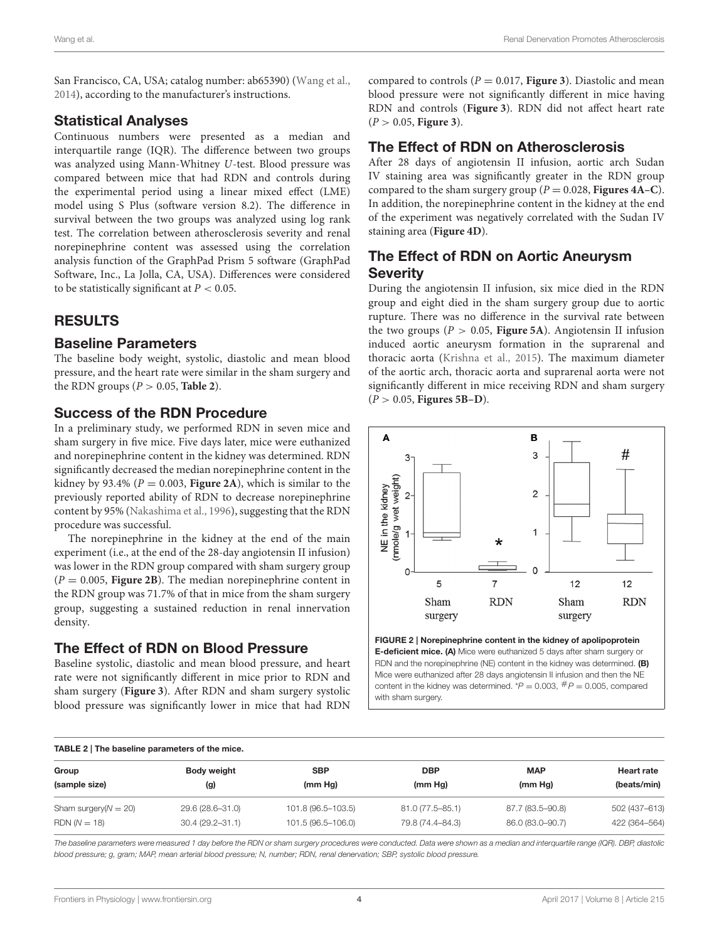San Francisco, CA, USA; catalog number: ab65390) [\(Wang et al.,](#page-8-14) [2014\)](#page-8-14), according to the manufacturer's instructions.

#### Statistical Analyses

Continuous numbers were presented as a median and interquartile range (IQR). The difference between two groups was analyzed using Mann-Whitney U-test. Blood pressure was compared between mice that had RDN and controls during the experimental period using a linear mixed effect (LME) model using S Plus (software version 8.2). The difference in survival between the two groups was analyzed using log rank test. The correlation between atherosclerosis severity and renal norepinephrine content was assessed using the correlation analysis function of the GraphPad Prism 5 software (GraphPad Software, Inc., La Jolla, CA, USA). Differences were considered to be statistically significant at  $P < 0.05$ .

## RESULTS

#### Baseline Parameters

The baseline body weight, systolic, diastolic and mean blood pressure, and the heart rate were similar in the sham surgery and the RDN groups ( $P > 0.05$ , **[Table 2](#page-3-0)**).

## Success of the RDN Procedure

In a preliminary study, we performed RDN in seven mice and sham surgery in five mice. Five days later, mice were euthanized and norepinephrine content in the kidney was determined. RDN significantly decreased the median norepinephrine content in the kidney by 93.4% ( $P = 0.003$ , **[Figure 2A](#page-3-1)**), which is similar to the previously reported ability of RDN to decrease norepinephrine content by 95% [\(Nakashima et al., 1996\)](#page-8-15), suggesting that the RDN procedure was successful.

The norepinephrine in the kidney at the end of the main experiment (i.e., at the end of the 28-day angiotensin II infusion) was lower in the RDN group compared with sham surgery group  $(P = 0.005,$  **[Figure 2B](#page-3-1)**). The median norepinephrine content in the RDN group was 71.7% of that in mice from the sham surgery group, suggesting a sustained reduction in renal innervation density.

## The Effect of RDN on Blood Pressure

Baseline systolic, diastolic and mean blood pressure, and heart rate were not significantly different in mice prior to RDN and sham surgery (**[Figure 3](#page-4-0)**). After RDN and sham surgery systolic blood pressure was significantly lower in mice that had RDN compared to controls  $(P = 0.017$ , **[Figure 3](#page-4-0)**). Diastolic and mean blood pressure were not significantly different in mice having RDN and controls (**[Figure 3](#page-4-0)**). RDN did not affect heart rate (P > 0.05, **[Figure 3](#page-4-0)**).

## The Effect of RDN on Atherosclerosis

After 28 days of angiotensin II infusion, aortic arch Sudan IV staining area was significantly greater in the RDN group compared to the sham surgery group ( $P = 0.028$ , **[Figures 4A–C](#page-5-0)**). In addition, the norepinephrine content in the kidney at the end of the experiment was negatively correlated with the Sudan IV staining area (**[Figure 4D](#page-5-0)**).

## The Effect of RDN on Aortic Aneurysm **Severity**

During the angiotensin II infusion, six mice died in the RDN group and eight died in the sham surgery group due to aortic rupture. There was no difference in the survival rate between the two groups ( $P > 0.05$ , **[Figure 5A](#page-5-1)**). Angiotensin II infusion induced aortic aneurysm formation in the suprarenal and thoracic aorta [\(Krishna et al., 2015\)](#page-7-11). The maximum diameter of the aortic arch, thoracic aorta and suprarenal aorta were not significantly different in mice receiving RDN and sham surgery (P > 0.05, **[Figures 5B–D](#page-5-1)**).



<span id="page-3-1"></span>FIGURE 2 | Norepinephrine content in the kidney of apolipoprotein E-deficient mice. (A) Mice were euthanized 5 days after sham surgery or RDN and the norepinephrine (NE) content in the kidney was determined. (B) Mice were euthanized after 28 days angiotensin II infusion and then the NE content in the kidney was determined.  $P = 0.003$ ,  $\#P = 0.005$ , compared with sham surgery.

<span id="page-3-0"></span>

| TABLE 2   The baseline parameters of the mice. |                     |                    |                  |                  |                   |  |
|------------------------------------------------|---------------------|--------------------|------------------|------------------|-------------------|--|
| Group                                          | Body weight         | <b>SBP</b>         | <b>DBP</b>       | <b>MAP</b>       | <b>Heart rate</b> |  |
| (sample size)                                  | (g)                 | (mm Hg)            | (mm Hg)          | (mm Hg)          | (beats/min)       |  |
| Sham surgery $(N = 20)$                        | 29.6 (28.6-31.0)    | 101.8 (96.5-103.5) | 81.0 (77.5-85.1) | 87.7 (83.5-90.8) | 502 (437-613)     |  |
| $RDN (N = 18)$                                 | $30.4(29.2 - 31.1)$ | 101.5 (96.5-106.0) | 79.8 (74.4-84.3) | 86.0 (83.0-90.7) | 422 (364-564)     |  |

*The baseline parameters were measured 1 day before the RDN or sham surgery procedures were conducted. Data were shown as a median and interquartile range (IQR). DBP, diastolic blood pressure; g, gram; MAP, mean arterial blood pressure; N, number; RDN, renal denervation; SBP, systolic blood pressure.*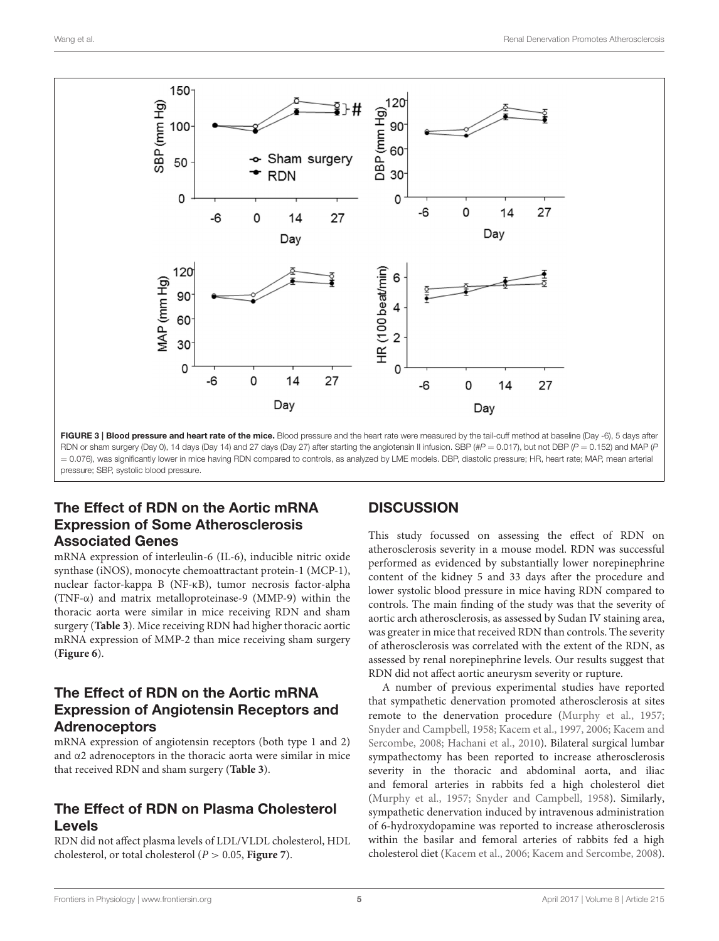

<span id="page-4-0"></span>RDN or sham surgery (Day 0), 14 days (Day 14) and 27 days (Day 27) after starting the angiotensin II infusion. SBP (# $P = 0.017$ ), but not DBP ( $P = 0.152$ ) and MAP (P = 0.076), was significantly lower in mice having RDN compared to controls, as analyzed by LME models. DBP, diastolic pressure; HR, heart rate; MAP, mean arterial pressure; SBP, systolic blood pressure.

## The Effect of RDN on the Aortic mRNA Expression of Some Atherosclerosis Associated Genes

mRNA expression of interleulin-6 (IL-6), inducible nitric oxide synthase (iNOS), monocyte chemoattractant protein-1 (MCP-1), nuclear factor-kappa B (NF-κB), tumor necrosis factor-alpha (TNF-α) and matrix metalloproteinase-9 (MMP-9) within the thoracic aorta were similar in mice receiving RDN and sham surgery (**[Table 3](#page-5-2)**). Mice receiving RDN had higher thoracic aortic mRNA expression of MMP-2 than mice receiving sham surgery (**[Figure 6](#page-6-0)**).

## The Effect of RDN on the Aortic mRNA Expression of Angiotensin Receptors and Adrenoceptors

mRNA expression of angiotensin receptors (both type 1 and 2) and α2 adrenoceptors in the thoracic aorta were similar in mice that received RDN and sham surgery (**[Table 3](#page-5-2)**).

# The Effect of RDN on Plasma Cholesterol Levels

RDN did not affect plasma levels of LDL/VLDL cholesterol, HDL cholesterol, or total cholesterol ( $P > 0.05$ , **Figure** 7).

# **DISCUSSION**

This study focussed on assessing the effect of RDN on atherosclerosis severity in a mouse model. RDN was successful performed as evidenced by substantially lower norepinephrine content of the kidney 5 and 33 days after the procedure and lower systolic blood pressure in mice having RDN compared to controls. The main finding of the study was that the severity of aortic arch atherosclerosis, as assessed by Sudan IV staining area, was greater in mice that received RDN than controls. The severity of atherosclerosis was correlated with the extent of the RDN, as assessed by renal norepinephrine levels. Our results suggest that RDN did not affect aortic aneurysm severity or rupture.

A number of previous experimental studies have reported that sympathetic denervation promoted atherosclerosis at sites remote to the denervation procedure [\(Murphy et al., 1957;](#page-8-5) [Snyder and Campbell, 1958;](#page-8-6) [Kacem et al., 1997,](#page-7-3) [2006;](#page-7-4) Kacem and Sercombe, [2008;](#page-7-5) [Hachani et al., 2010\)](#page-7-6). Bilateral surgical lumbar sympathectomy has been reported to increase atherosclerosis severity in the thoracic and abdominal aorta, and iliac and femoral arteries in rabbits fed a high cholesterol diet [\(Murphy et al., 1957;](#page-8-5) [Snyder and Campbell, 1958\)](#page-8-6). Similarly, sympathetic denervation induced by intravenous administration of 6-hydroxydopamine was reported to increase atherosclerosis within the basilar and femoral arteries of rabbits fed a high cholesterol diet [\(Kacem et al., 2006;](#page-7-4) [Kacem and Sercombe, 2008\)](#page-7-5).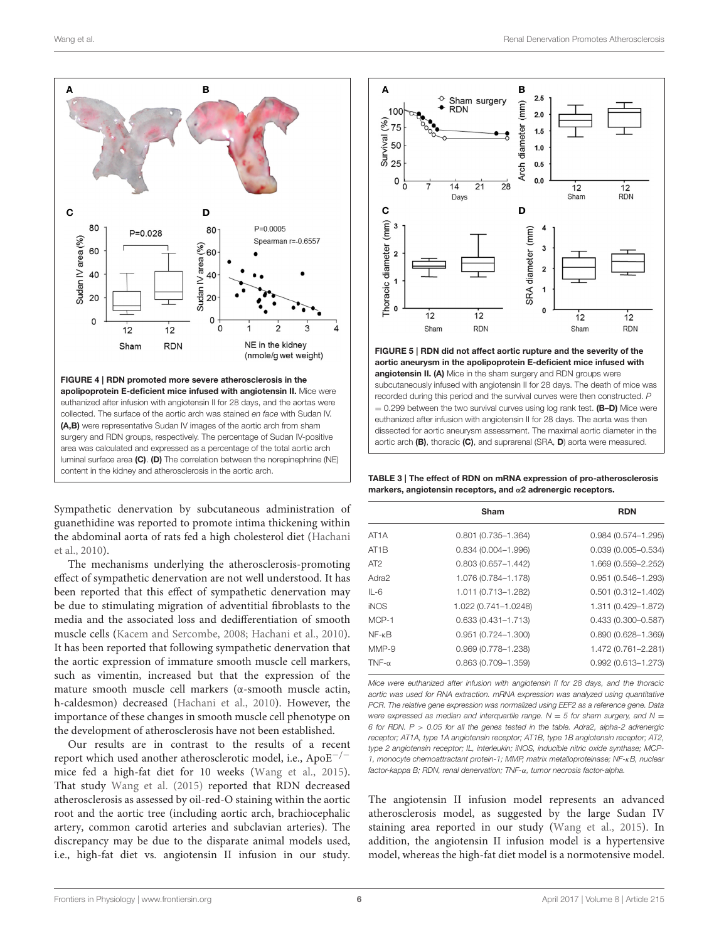

<span id="page-5-0"></span>Sympathetic denervation by subcutaneous administration of guanethidine was reported to promote intima thickening within the abdominal aorta of rats fed a high cholesterol diet (Hachani et al., [2010\)](#page-7-6).

The mechanisms underlying the atherosclerosis-promoting effect of sympathetic denervation are not well understood. It has been reported that this effect of sympathetic denervation may be due to stimulating migration of adventitial fibroblasts to the media and the associated loss and dedifferentiation of smooth muscle cells [\(Kacem and Sercombe, 2008;](#page-7-5) [Hachani et al., 2010\)](#page-7-6). It has been reported that following sympathetic denervation that the aortic expression of immature smooth muscle cell markers, such as vimentin, increased but that the expression of the mature smooth muscle cell markers (α-smooth muscle actin, h-caldesmon) decreased [\(Hachani et al., 2010\)](#page-7-6). However, the importance of these changes in smooth muscle cell phenotype on the development of atherosclerosis have not been established.

Our results are in contrast to the results of a recent report which used another atherosclerotic model, i.e., ApoE−/<sup>−</sup> mice fed a high-fat diet for 10 weeks [\(Wang et al., 2015\)](#page-8-7). That study [Wang et al. \(2015\)](#page-8-7) reported that RDN decreased atherosclerosis as assessed by oil-red-O staining within the aortic root and the aortic tree (including aortic arch, brachiocephalic artery, common carotid arteries and subclavian arteries). The discrepancy may be due to the disparate animal models used, i.e., high-fat diet vs. angiotensin II infusion in our study.



<span id="page-5-1"></span> $= 0.299$  between the two survival curves using log rank test. (B-D) Mice were euthanized after infusion with angiotensin II for 28 days. The aorta was then dissected for aortic aneurysm assessment. The maximal aortic diameter in the aortic arch (B), thoracic (C), and suprarenal (SRA, D) aorta were measured.

<span id="page-5-2"></span>TABLE 3 | The effect of RDN on mRNA expression of pro-atherosclerosis markers, angiotensin receptors, and α2 adrenergic receptors.

|                   | Sham                   | <b>RDN</b>                |
|-------------------|------------------------|---------------------------|
| AT <sub>1</sub> A | $0.801$ (0.735-1.364)  | $0.984(0.574 - 1.295)$    |
| AT <sub>1</sub> B | $0.834(0.004 - 1.996)$ | $0.039(0.005 - 0.534)$    |
| AT <sub>2</sub>   | $0.803(0.657 - 1.442)$ | 1.669 (0.559-2.252)       |
| Adra2             | 1.076 (0.784-1.178)    | $0.951(0.546 - 1.293)$    |
| $IL-6$            | 1.011 (0.713-1.282)    | $0.501$ $(0.312 - 1.402)$ |
| <b>iNOS</b>       | 1.022 (0.741-1.0248)   | 1.311 (0.429-1.872)       |
| $MCP-1$           | $0.633(0.431 - 1.713)$ | $0.433(0.300 - 0.587)$    |
| $NF - \kappa B$   | $0.951$ (0.724-1.300)  | $0.890(0.628 - 1.369)$    |
| $MMP-9$           | 0.969 (0.778-1.238)    | 1.472 (0.761-2.281)       |
| $TNF-\alpha$      | $0.863(0.709 - 1.359)$ | $0.992(0.613 - 1.273)$    |

*Mice were euthanized after infusion with angiotensin II for 28 days, and the thoracic aortic was used for RNA extraction. mRNA expression was analyzed using quantitative PCR. The relative gene expression was normalized using EEF2 as a reference gene. Data were expressed as median and interquartile range.*  $N = 5$  for sham surgery, and  $N = 1$ *6 for RDN. P* > *0.05 for all the genes tested in the table. Adra2, alpha-2 adrenergic receptor; AT1A, type 1A angiotensin receptor; AT1B, type 1B angiotensin receptor; AT2, type 2 angiotensin receptor; IL, interleukin; iNOS, inducible nitric oxide synthase; MCP-1, monocyte chemoattractant protein-1; MMP, matrix metalloproteinase; NF-*κ*B, nuclear factor-kappa B; RDN, renal denervation; TNF-*α*, tumor necrosis factor-alpha.*

The angiotensin II infusion model represents an advanced atherosclerosis model, as suggested by the large Sudan IV staining area reported in our study [\(Wang et al., 2015\)](#page-8-7). In addition, the angiotensin II infusion model is a hypertensive model, whereas the high-fat diet model is a normotensive model.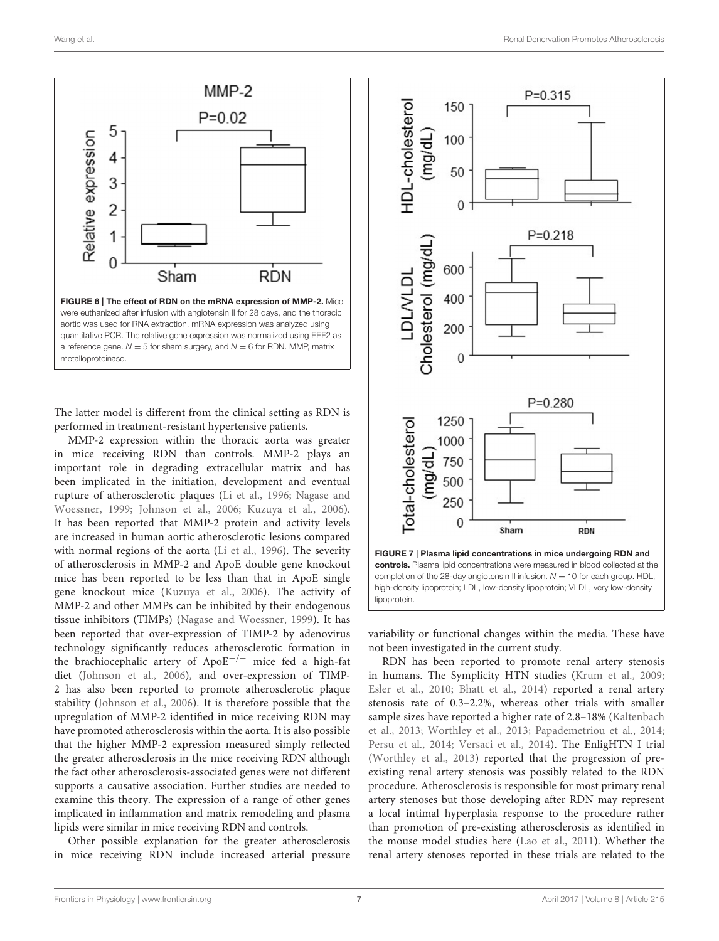

<span id="page-6-0"></span>The latter model is different from the clinical setting as RDN is performed in treatment-resistant hypertensive patients.

MMP-2 expression within the thoracic aorta was greater in mice receiving RDN than controls. MMP-2 plays an important role in degrading extracellular matrix and has been implicated in the initiation, development and eventual rupture of atherosclerotic plaques [\(Li et al., 1996;](#page-8-16) Nagase and Woessner, [1999;](#page-8-17) [Johnson et al., 2006;](#page-7-12) [Kuzuya et al., 2006\)](#page-8-18). It has been reported that MMP-2 protein and activity levels are increased in human aortic atherosclerotic lesions compared with normal regions of the aorta [\(Li et al., 1996\)](#page-8-16). The severity of atherosclerosis in MMP-2 and ApoE double gene knockout mice has been reported to be less than that in ApoE single gene knockout mice [\(Kuzuya et al., 2006\)](#page-8-18). The activity of MMP-2 and other MMPs can be inhibited by their endogenous tissue inhibitors (TIMPs) [\(Nagase and Woessner, 1999\)](#page-8-17). It has been reported that over-expression of TIMP-2 by adenovirus technology significantly reduces atherosclerotic formation in the brachiocephalic artery of ApoE−/<sup>−</sup> mice fed a high-fat diet [\(Johnson et al., 2006\)](#page-7-12), and over-expression of TIMP-2 has also been reported to promote atherosclerotic plaque stability [\(Johnson et al., 2006\)](#page-7-12). It is therefore possible that the upregulation of MMP-2 identified in mice receiving RDN may have promoted atherosclerosis within the aorta. It is also possible that the higher MMP-2 expression measured simply reflected the greater atherosclerosis in the mice receiving RDN although the fact other atherosclerosis-associated genes were not different supports a causative association. Further studies are needed to examine this theory. The expression of a range of other genes implicated in inflammation and matrix remodeling and plasma lipids were similar in mice receiving RDN and controls.

Other possible explanation for the greater atherosclerosis in mice receiving RDN include increased arterial pressure



<span id="page-6-1"></span>variability or functional changes within the media. These have not been investigated in the current study.

RDN has been reported to promote renal artery stenosis in humans. The Symplicity HTN studies [\(Krum et al., 2009;](#page-8-0) [Esler et al., 2010;](#page-7-0) [Bhatt et al., 2014\)](#page-7-1) reported a renal artery stenosis rate of 0.3–2.2%, whereas other trials with smaller sample sizes have reported a higher rate of 2.8-18% (Kaltenbach et al., [2013;](#page-7-2) [Worthley et al., 2013;](#page-8-1) [Papademetriou et al., 2014;](#page-8-2) [Persu et al., 2014;](#page-8-19) [Versaci et al., 2014\)](#page-8-4). The EnligHTN I trial [\(Worthley et al., 2013\)](#page-8-1) reported that the progression of preexisting renal artery stenosis was possibly related to the RDN procedure. Atherosclerosis is responsible for most primary renal artery stenoses but those developing after RDN may represent a local intimal hyperplasia response to the procedure rather than promotion of pre-existing atherosclerosis as identified in the mouse model studies here [\(Lao et al., 2011\)](#page-8-20). Whether the renal artery stenoses reported in these trials are related to the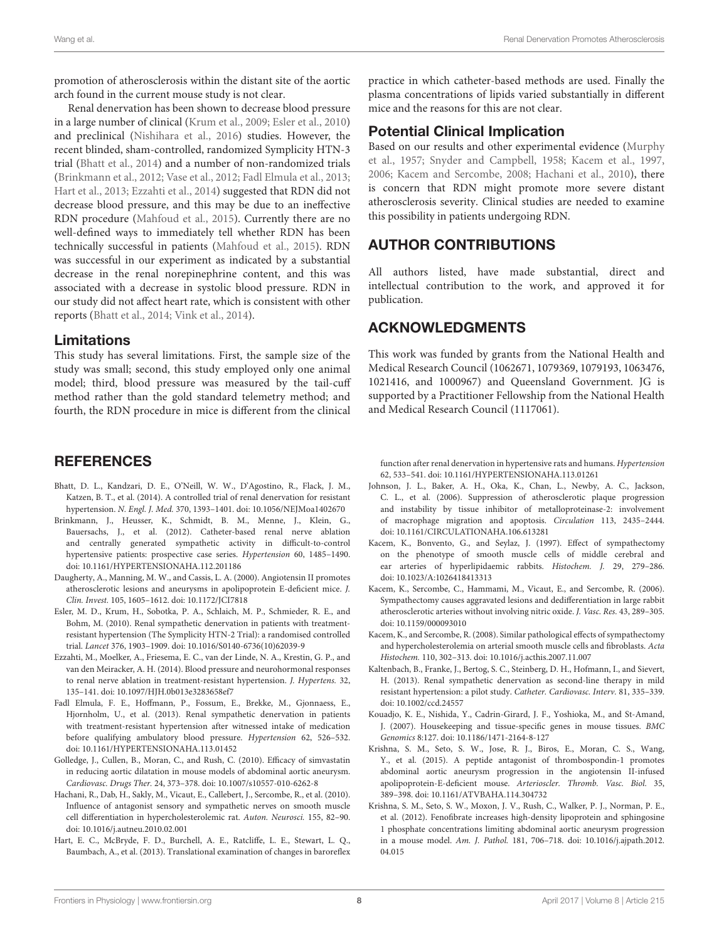promotion of atherosclerosis within the distant site of the aortic arch found in the current mouse study is not clear.

Renal denervation has been shown to decrease blood pressure in a large number of clinical [\(Krum et al., 2009;](#page-8-0) [Esler et al., 2010\)](#page-7-0) and preclinical [\(Nishihara et al., 2016\)](#page-8-21) studies. However, the recent blinded, sham-controlled, randomized Symplicity HTN-3 trial [\(Bhatt et al., 2014\)](#page-7-1) and a number of non-randomized trials [\(Brinkmann et al., 2012;](#page-7-13) [Vase et al., 2012;](#page-8-22) [Fadl Elmula et al., 2013;](#page-7-14) [Hart et al., 2013;](#page-7-15) [Ezzahti et al., 2014\)](#page-7-16) suggested that RDN did not decrease blood pressure, and this may be due to an ineffective RDN procedure [\(Mahfoud et al., 2015\)](#page-8-23). Currently there are no well-defined ways to immediately tell whether RDN has been technically successful in patients [\(Mahfoud et al., 2015\)](#page-8-23). RDN was successful in our experiment as indicated by a substantial decrease in the renal norepinephrine content, and this was associated with a decrease in systolic blood pressure. RDN in our study did not affect heart rate, which is consistent with other reports [\(Bhatt et al., 2014;](#page-7-1) [Vink et al., 2014\)](#page-8-24).

## Limitations

This study has several limitations. First, the sample size of the study was small; second, this study employed only one animal model; third, blood pressure was measured by the tail-cuff method rather than the gold standard telemetry method; and fourth, the RDN procedure in mice is different from the clinical

## **REFERENCES**

- <span id="page-7-1"></span>Bhatt, D. L., Kandzari, D. E., O'Neill, W. W., D'Agostino, R., Flack, J. M., Katzen, B. T., et al. (2014). A controlled trial of renal denervation for resistant hypertension. N. Engl. J. Med. 370, 1393–1401. doi: [10.1056/NEJMoa1402670](https://doi.org/10.1056/NEJMoa1402670)
- <span id="page-7-13"></span>Brinkmann, J., Heusser, K., Schmidt, B. M., Menne, J., Klein, G., Bauersachs, J., et al. (2012). Catheter-based renal nerve ablation and centrally generated sympathetic activity in difficult-to-control hypertensive patients: prospective case series. Hypertension 60, 1485–1490. doi: [10.1161/HYPERTENSIONAHA.112.201186](https://doi.org/10.1161/HYPERTENSIONAHA.112.201186)
- <span id="page-7-7"></span>Daugherty, A., Manning, M. W., and Cassis, L. A. (2000). Angiotensin II promotes atherosclerotic lesions and aneurysms in apolipoprotein E-deficient mice. J. Clin. Invest. 105, 1605–1612. doi: [10.1172/JCI7818](https://doi.org/10.1172/JCI7818)
- <span id="page-7-0"></span>Esler, M. D., Krum, H., Sobotka, P. A., Schlaich, M. P., Schmieder, R. E., and Bohm, M. (2010). Renal sympathetic denervation in patients with treatmentresistant hypertension (The Symplicity HTN-2 Trial): a randomised controlled trial. Lancet 376, 1903–1909. doi: [10.1016/S0140-6736\(10\)62039-9](https://doi.org/10.1016/S0140-6736(10)62039-9)
- <span id="page-7-16"></span>Ezzahti, M., Moelker, A., Friesema, E. C., van der Linde, N. A., Krestin, G. P., and van den Meiracker, A. H. (2014). Blood pressure and neurohormonal responses to renal nerve ablation in treatment-resistant hypertension. J. Hypertens. 32, 135–141. doi: [10.1097/HJH.0b013e3283658ef7](https://doi.org/10.1097/HJH.0b013e3283658ef7)
- <span id="page-7-14"></span>Fadl Elmula, F. E., Hoffmann, P., Fossum, E., Brekke, M., Gjonnaess, E., Hjornholm, U., et al. (2013). Renal sympathetic denervation in patients with treatment-resistant hypertension after witnessed intake of medication before qualifying ambulatory blood pressure. Hypertension 62, 526–532. doi: [10.1161/HYPERTENSIONAHA.113.01452](https://doi.org/10.1161/HYPERTENSIONAHA.113.01452)
- <span id="page-7-9"></span>Golledge, J., Cullen, B., Moran, C., and Rush, C. (2010). Efficacy of simvastatin in reducing aortic dilatation in mouse models of abdominal aortic aneurysm. Cardiovasc. Drugs Ther. 24, 373–378. doi: [10.1007/s10557-010-6262-8](https://doi.org/10.1007/s10557-010-6262-8)
- <span id="page-7-6"></span>Hachani, R., Dab, H., Sakly, M., Vicaut, E., Callebert, J., Sercombe, R., et al. (2010). Influence of antagonist sensory and sympathetic nerves on smooth muscle cell differentiation in hypercholesterolemic rat. Auton. Neurosci. 155, 82–90. doi: [10.1016/j.autneu.2010.02.001](https://doi.org/10.1016/j.autneu.2010.02.001)
- <span id="page-7-15"></span>Hart, E. C., McBryde, F. D., Burchell, A. E., Ratcliffe, L. E., Stewart, L. Q., Baumbach, A., et al. (2013). Translational examination of changes in baroreflex

practice in which catheter-based methods are used. Finally the plasma concentrations of lipids varied substantially in different mice and the reasons for this are not clear.

## Potential Clinical Implication

Based on our results and other experimental evidence (Murphy et al., [1957;](#page-8-5) [Snyder and Campbell, 1958;](#page-8-6) [Kacem et al., 1997,](#page-7-3) [2006;](#page-7-4) [Kacem and Sercombe, 2008;](#page-7-5) [Hachani et al., 2010\)](#page-7-6), there is concern that RDN might promote more severe distant atherosclerosis severity. Clinical studies are needed to examine this possibility in patients undergoing RDN.

## AUTHOR CONTRIBUTIONS

All authors listed, have made substantial, direct and intellectual contribution to the work, and approved it for publication.

## ACKNOWLEDGMENTS

This work was funded by grants from the National Health and Medical Research Council (1062671, 1079369, 1079193, 1063476, 1021416, and 1000967) and Queensland Government. JG is supported by a Practitioner Fellowship from the National Health and Medical Research Council (1117061).

function after renal denervation in hypertensive rats and humans. Hypertension 62, 533–541. doi: [10.1161/HYPERTENSIONAHA.113.01261](https://doi.org/10.1161/HYPERTENSIONAHA.113.01261)

- <span id="page-7-12"></span>Johnson, J. L., Baker, A. H., Oka, K., Chan, L., Newby, A. C., Jackson, C. L., et al. (2006). Suppression of atherosclerotic plaque progression and instability by tissue inhibitor of metalloproteinase-2: involvement of macrophage migration and apoptosis. Circulation 113, 2435–2444. doi: [10.1161/CIRCULATIONAHA.106.613281](https://doi.org/10.1161/CIRCULATIONAHA.106.613281)
- <span id="page-7-3"></span>Kacem, K., Bonvento, G., and Seylaz, J. (1997). Effect of sympathectomy on the phenotype of smooth muscle cells of middle cerebral and ear arteries of hyperlipidaemic rabbits. Histochem. J. 29, 279–286. doi: [10.1023/A:1026418413313](https://doi.org/10.1023/A:1026418413313)
- <span id="page-7-4"></span>Kacem, K., Sercombe, C., Hammami, M., Vicaut, E., and Sercombe, R. (2006). Sympathectomy causes aggravated lesions and dedifferentiation in large rabbit atherosclerotic arteries without involving nitric oxide. J. Vasc. Res. 43, 289–305. doi: [10.1159/000093010](https://doi.org/10.1159/000093010)
- <span id="page-7-5"></span>Kacem, K., and Sercombe, R. (2008). Similar pathological effects of sympathectomy and hypercholesterolemia on arterial smooth muscle cells and fibroblasts. Acta Histochem. 110, 302–313. doi: [10.1016/j.acthis.2007.11.007](https://doi.org/10.1016/j.acthis.2007.11.007)
- <span id="page-7-2"></span>Kaltenbach, B., Franke, J., Bertog, S. C., Steinberg, D. H., Hofmann, I., and Sievert, H. (2013). Renal sympathetic denervation as second-line therapy in mild resistant hypertension: a pilot study. Catheter. Cardiovasc. Interv. 81, 335–339. doi: [10.1002/ccd.24557](https://doi.org/10.1002/ccd.24557)
- <span id="page-7-10"></span>Kouadjo, K. E., Nishida, Y., Cadrin-Girard, J. F., Yoshioka, M., and St-Amand, J. (2007). Housekeeping and tissue-specific genes in mouse tissues. BMC Genomics 8:127. doi: [10.1186/1471-2164-8-127](https://doi.org/10.1186/1471-2164-8-127)
- <span id="page-7-11"></span>Krishna, S. M., Seto, S. W., Jose, R. J., Biros, E., Moran, C. S., Wang, Y., et al. (2015). A peptide antagonist of thrombospondin-1 promotes abdominal aortic aneurysm progression in the angiotensin II-infused apolipoprotein-E-deficient mouse. Arterioscler. Thromb. Vasc. Biol. 35, 389–398. doi: [10.1161/ATVBAHA.114.304732](https://doi.org/10.1161/ATVBAHA.114.304732)
- <span id="page-7-8"></span>Krishna, S. M., Seto, S. W., Moxon, J. V., Rush, C., Walker, P. J., Norman, P. E., et al. (2012). Fenofibrate increases high-density lipoprotein and sphingosine 1 phosphate concentrations limiting abdominal aortic aneurysm progression in a mouse model. Am. J. Pathol. [181, 706–718. doi: 10.1016/j.ajpath.2012.](https://doi.org/10.1016/j.ajpath.2012.04.015) 04.015